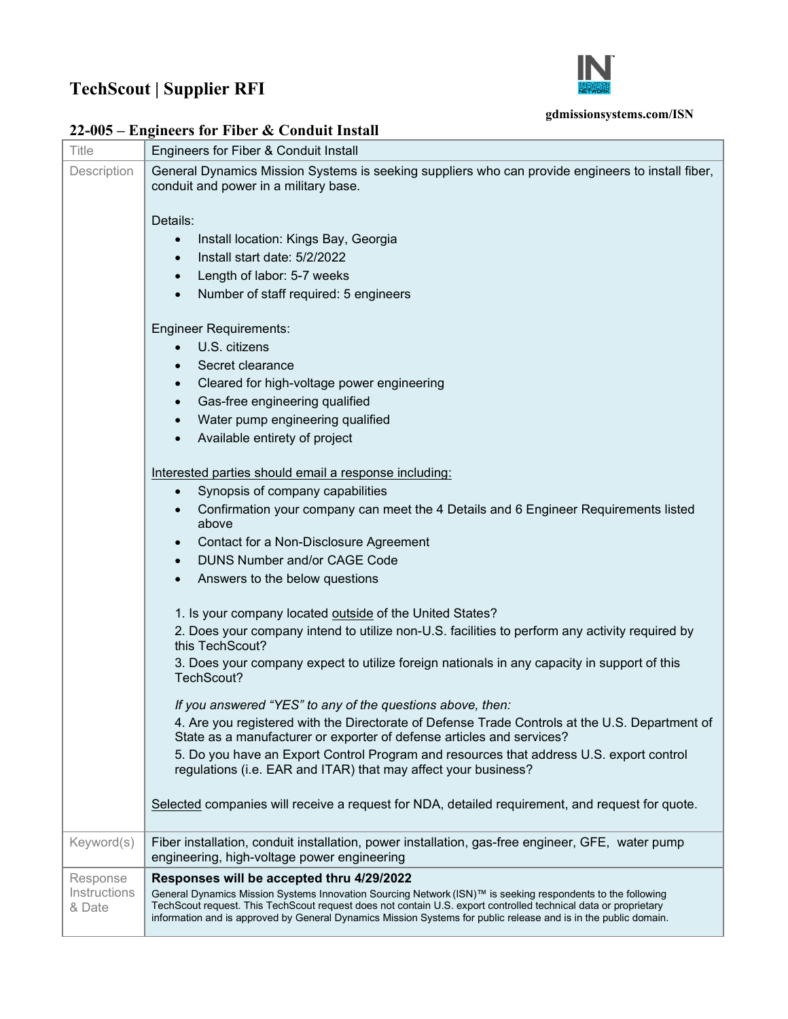## **TechScout | Supplier RFI**



## **gdmissionsystems.com/ISN**

| <b>Title</b>           | Engineers for Fiber & Conduit Install                                                                                                                                                                                                                                                                                                             |
|------------------------|---------------------------------------------------------------------------------------------------------------------------------------------------------------------------------------------------------------------------------------------------------------------------------------------------------------------------------------------------|
| Description            | General Dynamics Mission Systems is seeking suppliers who can provide engineers to install fiber,<br>conduit and power in a military base.                                                                                                                                                                                                        |
|                        | Details:                                                                                                                                                                                                                                                                                                                                          |
|                        | Install location: Kings Bay, Georgia<br>$\bullet$                                                                                                                                                                                                                                                                                                 |
|                        | Install start date: 5/2/2022<br>$\bullet$                                                                                                                                                                                                                                                                                                         |
|                        | Length of labor: 5-7 weeks<br>$\bullet$                                                                                                                                                                                                                                                                                                           |
|                        | Number of staff required: 5 engineers<br>$\bullet$                                                                                                                                                                                                                                                                                                |
|                        | <b>Engineer Requirements:</b>                                                                                                                                                                                                                                                                                                                     |
|                        | U.S. citizens<br>$\bullet$                                                                                                                                                                                                                                                                                                                        |
|                        | Secret clearance<br>$\bullet$                                                                                                                                                                                                                                                                                                                     |
|                        | Cleared for high-voltage power engineering<br>$\bullet$                                                                                                                                                                                                                                                                                           |
|                        | Gas-free engineering qualified<br>$\bullet$                                                                                                                                                                                                                                                                                                       |
|                        | Water pump engineering qualified<br>$\bullet$                                                                                                                                                                                                                                                                                                     |
|                        | Available entirety of project<br>$\bullet$                                                                                                                                                                                                                                                                                                        |
|                        | Interested parties should email a response including:                                                                                                                                                                                                                                                                                             |
|                        | Synopsis of company capabilities<br>$\bullet$                                                                                                                                                                                                                                                                                                     |
|                        | Confirmation your company can meet the 4 Details and 6 Engineer Requirements listed<br>$\bullet$<br>above                                                                                                                                                                                                                                         |
|                        | Contact for a Non-Disclosure Agreement<br>$\bullet$                                                                                                                                                                                                                                                                                               |
|                        | <b>DUNS Number and/or CAGE Code</b><br>$\bullet$                                                                                                                                                                                                                                                                                                  |
|                        | Answers to the below questions<br>$\bullet$                                                                                                                                                                                                                                                                                                       |
|                        | 1. Is your company located outside of the United States?                                                                                                                                                                                                                                                                                          |
|                        | 2. Does your company intend to utilize non-U.S. facilities to perform any activity required by<br>this TechScout?                                                                                                                                                                                                                                 |
|                        | 3. Does your company expect to utilize foreign nationals in any capacity in support of this<br>TechScout?                                                                                                                                                                                                                                         |
|                        | If you answered "YES" to any of the questions above, then:                                                                                                                                                                                                                                                                                        |
|                        | 4. Are you registered with the Directorate of Defense Trade Controls at the U.S. Department of<br>State as a manufacturer or exporter of defense articles and services?                                                                                                                                                                           |
|                        | 5. Do you have an Export Control Program and resources that address U.S. export control<br>regulations (i.e. EAR and ITAR) that may affect your business?                                                                                                                                                                                         |
|                        | Selected companies will receive a request for NDA, detailed requirement, and request for quote.                                                                                                                                                                                                                                                   |
| Keyword(s)             | Fiber installation, conduit installation, power installation, gas-free engineer, GFE, water pump<br>engineering, high-voltage power engineering                                                                                                                                                                                                   |
| Response               | Responses will be accepted thru 4/29/2022                                                                                                                                                                                                                                                                                                         |
| Instructions<br>& Date | General Dynamics Mission Systems Innovation Sourcing Network (ISN)™ is seeking respondents to the following<br>TechScout request. This TechScout request does not contain U.S. export controlled technical data or proprietary<br>information and is approved by General Dynamics Mission Systems for public release and is in the public domain. |

**22-005 – Engineers for Fiber & Conduit Install**